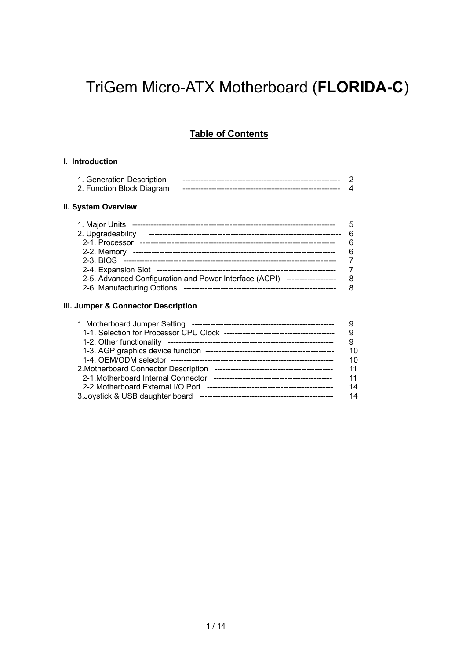# TriGem Micro-ATX Motherboard (**FLORIDA-C**)

### **Table of Contents**

### **I. Introduction**

| 1. Generation Description |  |
|---------------------------|--|
| 2. Function Block Diagram |  |

### **II. System Overview**

| 1. Major Units                                                                 | 5 |
|--------------------------------------------------------------------------------|---|
| 2. Upgradeability                                                              | 6 |
| 2-1. Processor                                                                 | 6 |
| 2-2. Memory                                                                    | 6 |
|                                                                                |   |
|                                                                                |   |
| 2-5. Advanced Configuration and Power Interface (ACPI)<br>-------------------- | 8 |
| 2-6. Manufacturing Options                                                     |   |

### **III. Jumper & Connector Description**

| 9  |
|----|
| 9  |
| 10 |
| 10 |
| 11 |
| 11 |
| 14 |
| 14 |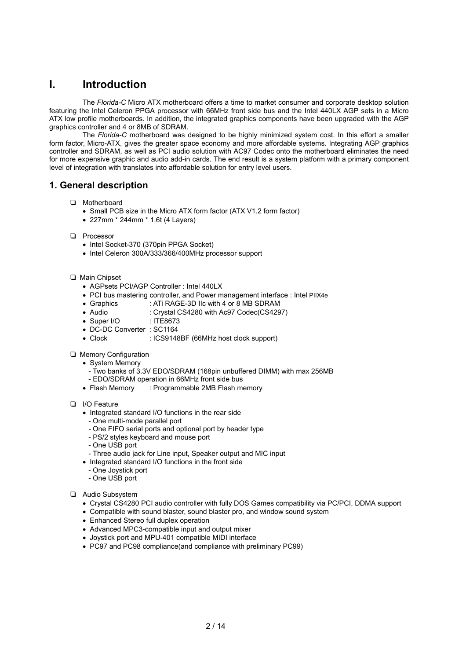# **I. Introduction**

The *Florida-C* Micro ATX motherboard offers a time to market consumer and corporate desktop solution featuring the Intel Celeron PPGA processor with 66MHz front side bus and the Intel 440LX AGP sets in a Micro ATX low profile motherboards. In addition, the integrated graphics components have been upgraded with the AGP graphics controller and 4 or 8MB of SDRAM.

The *Florida-C* motherboard was designed to be highly minimized system cost. In this effort a smaller form factor, Micro-ATX, gives the greater space economy and more affordable systems. Integrating AGP graphics controller and SDRAM, as well as PCI audio solution with AC97 Codec onto the motherboard eliminates the need for more expensive graphic and audio add-in cards. The end result is a system platform with a primary component level of integration with translates into affordable solution for entry level users.

### **1. General description**

- T Motherboard
	- Small PCB size in the Micro ATX form factor (ATX V1.2 form factor)
	- 227mm \* 244mm \* 1.6t (4 Layers)
- D Processor
	- Intel Socket-370 (370pin PPGA Socket)
	- Intel Celeron 300A/333/366/400MHz processor support

### T Main Chipset

- AGPsets PCI/AGP Controller : Intel 440LX
- PCI bus mastering controller, and Power management interface : Intel PIIX4e
- Graphics : ATi RAGE-3D IIc with 4 or 8 MB SDRAM
- Audio : Crystal CS4280 with Ac97 Codec(CS4297)
- Super I/O : ITE8673
- DC-DC Converter : SC1164
- Clock : ICS9148BF (66MHz host clock support)
- **Q** Memory Configuration
	- System Memory
		- Two banks of 3.3V EDO/SDRAM (168pin unbuffered DIMM) with max 256MB
	- EDO/SDRAM operation in 66MHz front side bus
	- Flash Memory : Programmable 2MB Flash memory
- **D** I/O Feature
	- Integrated standard I/O functions in the rear side
	- One multi-mode parallel port
	- One FIFO serial ports and optional port by header type
	- PS/2 styles keyboard and mouse port
	- One USB port
	- Three audio jack for Line input, Speaker output and MIC input
	- Integrated standard I/O functions in the front side
	- One Joystick port
	- One USB port
- **Q** Audio Subsystem
	- Crystal CS4280 PCI audio controller with fully DOS Games compatibility via PC/PCI, DDMA support
	- Compatible with sound blaster, sound blaster pro, and window sound system
	- Enhanced Stereo full duplex operation
	- Advanced MPC3-compatible input and output mixer
	- Joystick port and MPU-401 compatible MIDI interface
	- PC97 and PC98 compliance(and compliance with preliminary PC99)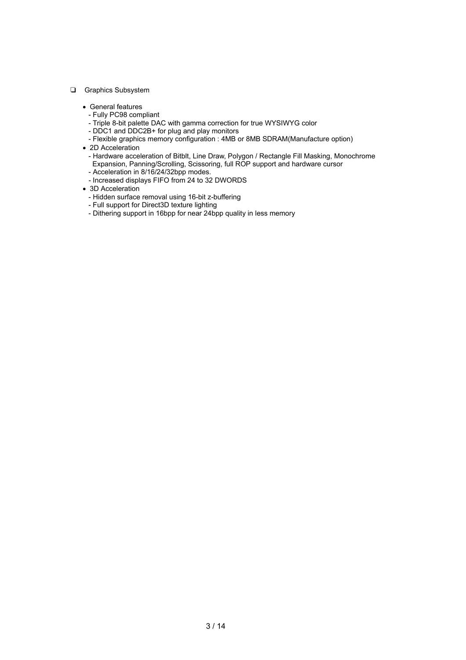#### **Q** Graphics Subsystem

- General features
	- Fully PC98 compliant
	- Triple 8-bit palette DAC with gamma correction for true WYSIWYG color
	- DDC1 and DDC2B+ for plug and play monitors
	- Flexible graphics memory configuration : 4MB or 8MB SDRAM(Manufacture option)
- 2D Acceleration
- Hardware acceleration of Bitblt, Line Draw, Polygon / Rectangle Fill Masking, Monochrome Expansion, Panning/Scrolling, Scissoring, full ROP support and hardware cursor
- Acceleration in 8/16/24/32bpp modes.
- Increased displays FIFO from 24 to 32 DWORDS
- 3D Acceleration
	- Hidden surface removal using 16-bit z-buffering
	- Full support for Direct3D texture lighting
	- Dithering support in 16bpp for near 24bpp quality in less memory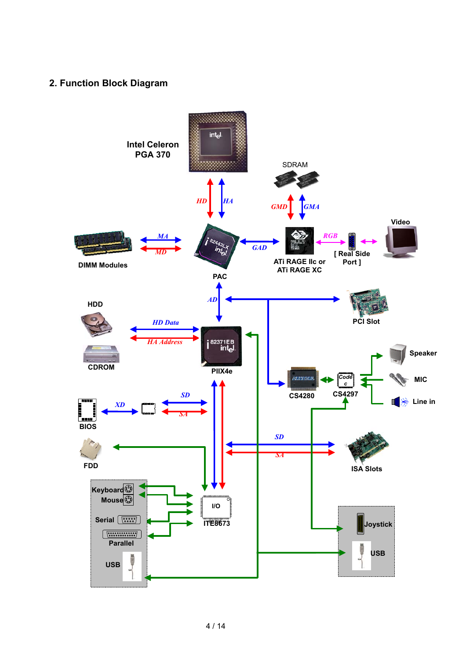# **2. Function Block Diagram**

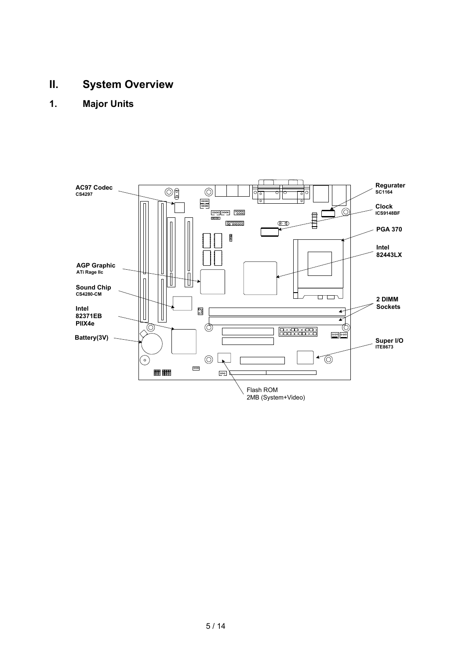# **II. System Overview**

**1. Major Units**

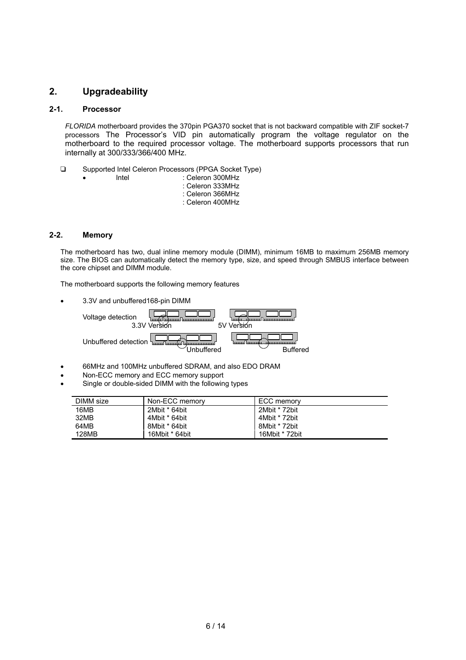### **2. Upgradeability**

### **2-1. Processor**

*FLORIDA* motherboard provides the 370pin PGA370 socket that is not backward compatible with ZIF socket-7 processors The Processor's VID pin automatically program the voltage regulator on the motherboard to the required processor voltage. The motherboard supports processors that run internally at 300/333/366/400 MHz.

- T Supported Intel Celeron Processors (PPGA Socket Type)
	-
- Intel : Celeron 300MHz : Celeron 333MHz : Celeron 366MHz : Celeron 400MHz

### **2-2. Memory**

The motherboard has two, dual inline memory module (DIMM), minimum 16MB to maximum 256MB memory size. The BIOS can automatically detect the memory type, size, and speed through SMBUS interface between the core chipset and DIMM module.

The motherboard supports the following memory features

• 3.3V and unbuffered168-pin DIMM



- 66MHz and 100MHz unbuffered SDRAM, and also EDO DRAM
- Non-ECC memory and ECC memory support
- Single or double-sided DIMM with the following types

| DIMM size | Non-ECC memory | ECC memory     |  |
|-----------|----------------|----------------|--|
| 16MB      | 2Mbit * 64bit  | 2Mbit * 72bit  |  |
| 32MB      | 4Mbit * 64bit  | 4Mbit * 72bit  |  |
| 64MB      | 8Mbit * 64bit  | 8Mbit * 72bit  |  |
| 128MB     | 16Mbit * 64bit | 16Mbit * 72bit |  |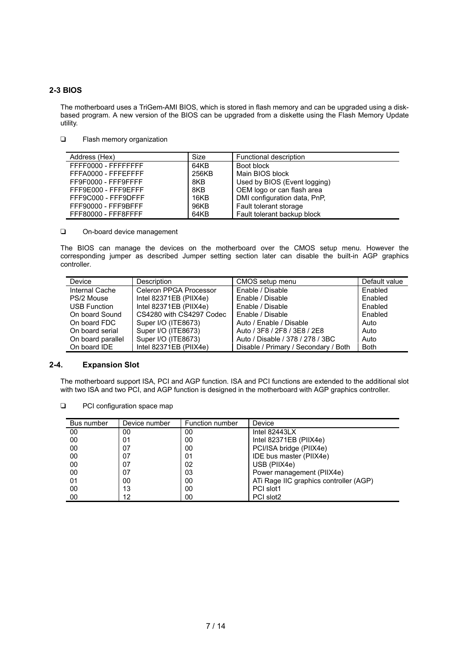### **2-3 BIOS**

The motherboard uses a TriGem-AMI BIOS, which is stored in flash memory and can be upgraded using a diskbased program. A new version of the BIOS can be upgraded from a diskette using the Flash Memory Update utility.

**T** Flash memory organization

| Address (Hex)       | Size  | Functional description       |
|---------------------|-------|------------------------------|
| FFFF0000 - FFFFFFFF | 64KB  | Boot block                   |
| FFFA0000 - FFFEFFFF | 256KB | Main BIOS block              |
| FF9F0000 - FFF9FFFF | 8KB   | Used by BIOS (Event logging) |
| FFF9E000 - FFF9EFFF | 8KB   | OEM logo or can flash area   |
| FFF9C000 - FFF9DFFF | 16KB  | DMI configuration data, PnP. |
| FFF90000 - FFF9BFFF | 96KB  | Fault tolerant storage       |
| FFF80000 - FFF8FFFF | 64KB  | Fault tolerant backup block  |

On-board device management

The BIOS can manage the devices on the motherboard over the CMOS setup menu. However the corresponding jumper as described Jumper setting section later can disable the built-in AGP graphics controller.

| Device              | <b>Description</b>       | CMOS setup menu                      | Default value |
|---------------------|--------------------------|--------------------------------------|---------------|
| Internal Cache      | Celeron PPGA Processor   | Enable / Disable                     | Enabled       |
| PS/2 Mouse          | Intel 82371EB (PIIX4e)   | Enable / Disable                     | Enabled       |
| <b>USB Function</b> | Intel 82371EB (PIIX4e)   | Enable / Disable                     | Enabled       |
| On board Sound      | CS4280 with CS4297 Codec | Enable / Disable                     | Enabled       |
| On board FDC        | Super I/O (ITE8673)      | Auto / Enable / Disable              | Auto          |
| On board serial     | Super I/O (ITE8673)      | Auto / 3F8 / 2F8 / 3E8 / 2E8         | Auto          |
| On board parallel   | Super I/O (ITE8673)      | Auto / Disable / 378 / 278 / 3BC     | Auto          |
| On board IDE        | Intel $82371EB$ (PIIX4e) | Disable / Primary / Secondary / Both | <b>Both</b>   |

### **2-4. Expansion Slot**

The motherboard support ISA, PCI and AGP function. ISA and PCI functions are extended to the additional slot with two ISA and two PCI, and AGP function is designed in the motherboard with AGP graphics controller.

**D** PCI configuration space map

| Bus number | Device number | Function number | Device                                 |
|------------|---------------|-----------------|----------------------------------------|
| 00         | 00            | 00              | Intel $82443LX$                        |
| 00         | 01            | 00              | Intel 82371EB (PIIX4e)                 |
| 00         | 07            | 00              | PCI/ISA bridge (PIIX4e)                |
| 00         | 07            | 01              | IDE bus master (PIIX4e)                |
| 00         | 07            | 02              | USB (PIIX4e)                           |
| 00         | 07            | 03              | Power management (PIIX4e)              |
| 01         | 00            | 00              | ATi Rage IIC graphics controller (AGP) |
| 00         | 13            | 00              | PCI slot1                              |
| 00         | 12            | 00              | PCI slot2                              |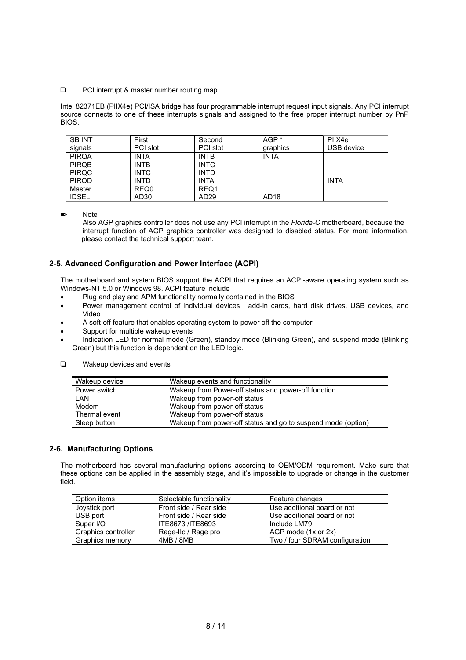#### □ PCI interrupt & master number routing map

Intel 82371EB (PIIX4e) PCI/ISA bridge has four programmable interrupt request input signals. Any PCI interrupt source connects to one of these interrupts signals and assigned to the free proper interrupt number by PnP BIOS.

| <b>SB INT</b> | First            | Second           | AGP <sup>*</sup> | PIIX4e      |
|---------------|------------------|------------------|------------------|-------------|
| signals       | PCI slot         | PCI slot         | graphics         | USB device  |
| <b>PIRQA</b>  | INTA             | <b>INTB</b>      | <b>INTA</b>      |             |
| <b>PIRQB</b>  | <b>INTB</b>      | <b>INTC</b>      |                  |             |
| <b>PIRQC</b>  | <b>INTC</b>      | <b>INTD</b>      |                  |             |
| <b>PIRQD</b>  | <b>INTD</b>      | <b>INTA</b>      |                  | <b>INTA</b> |
| Master        | REQ0             | REQ1             |                  |             |
| <b>IDSEL</b>  | AD <sub>30</sub> | AD <sub>29</sub> | AD <sub>18</sub> |             |

**Note** 

Also AGP graphics controller does not use any PCI interrupt in the *Florida-C* motherboard, because the interrupt function of AGP graphics controller was designed to disabled status. For more information, please contact the technical support team.

### **2-5. Advanced Configuration and Power Interface (ACPI)**

The motherboard and system BIOS support the ACPI that requires an ACPI-aware operating system such as Windows-NT 5.0 or Windows 98. ACPI feature include

- Plug and play and APM functionality normally contained in the BIOS
- Power management control of individual devices : add-in cards, hard disk drives, USB devices, and Video
- A soft-off feature that enables operating system to power off the computer
- Support for multiple wakeup events
- Indication LED for normal mode (Green), standby mode (Blinking Green), and suspend mode (Blinking Green) but this function is dependent on the LED logic.

| Wakeup device | Wakeup events and functionality                              |
|---------------|--------------------------------------------------------------|
| Power switch  | Wakeup from Power-off status and power-off function          |
| LAN           | Wakeup from power-off status                                 |
| Modem         | Wakeup from power-off status                                 |
| Thermal event | Wakeup from power-off status                                 |
| Sleep button  | Wakeup from power-off status and go to suspend mode (option) |

### **2-6. Manufacturing Options**

The motherboard has several manufacturing options according to OEM/ODM requirement. Make sure that these options can be applied in the assembly stage, and it's impossible to upgrade or change in the customer field.

| Option items        | Selectable functionality | Feature changes                |
|---------------------|--------------------------|--------------------------------|
| Joystick port       | Front side / Rear side   | Use additional board or not    |
| USB port            | Front side / Rear side   | Use additional board or not    |
| Super I/O           | ITE8673 /ITE8693         | Include LM79                   |
| Graphics controller | Rage-IIc / Rage pro      | AGP mode (1x or 2x)            |
| Graphics memory     | 4MB / 8MB                | Two / four SDRAM configuration |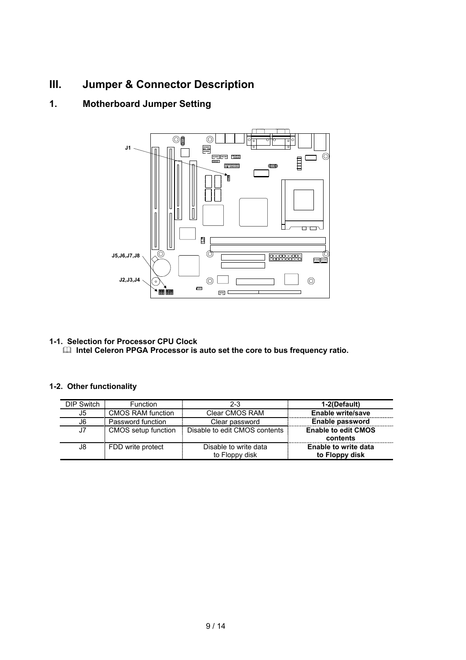# **III. Jumper & Connector Description**

# **1. Motherboard Jumper Setting**



# **1-1. Selection for Processor CPU Clock**

 $\Box$  Intel Celeron PPGA Processor is auto set the core to bus frequency ratio.

### **1-2. Other functionality**

| DIP Switch | <b>Function</b>          | 2-3                           | 1-2(Default)               |
|------------|--------------------------|-------------------------------|----------------------------|
| J5         | <b>CMOS RAM function</b> | Clear CMOS RAM                | Enable write/save          |
| J6         | Password function        | Clear password                | Enable password            |
| J7         | CMOS setup function      | Disable to edit CMOS contents | <b>Enable to edit CMOS</b> |
|            |                          |                               | contents                   |
| J8         | FDD write protect        | Disable to write data         | Enable to write data       |
|            |                          | to Floppy disk                | to Floppy disk             |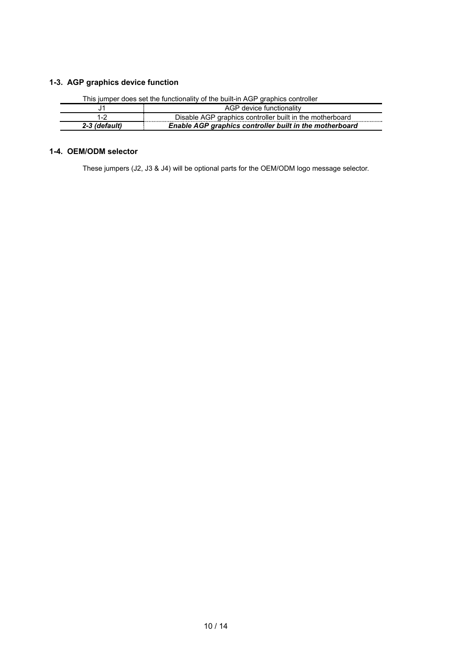### **1-3. AGP graphics device function**

|               | AGP device functionality                                 |
|---------------|----------------------------------------------------------|
|               | Disable AGP graphics controller built in the motherboard |
| 2-3 (default) | Enable AGP graphics controller built in the motherboard  |

### This jumper does set the functionality of the built-in AGP graphics controller

### **1-4. OEM/ODM selector**

These jumpers (J2, J3 & J4) will be optional parts for the OEM/ODM logo message selector.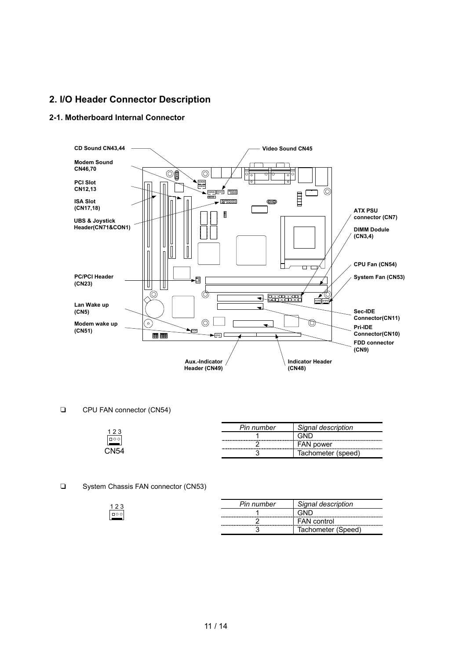### **2. I/O Header Connector Description**

### **2-1. Motherboard Internal Connector**



#### CPU FAN connector (CN54)

| າາ   | Pin number               | Signal description    |
|------|--------------------------|-----------------------|
| ㅁㅇㅇ  |                          | GND                   |
|      | ________________________ | FAN power             |
| วN54 |                          | Tachometer<br>(speed) |

### □ System Chassis FAN connector (CN53)

|        | Pin number | Signal description |
|--------|------------|--------------------|
| $\Box$ |            |                    |
|        |            | <b>FAN</b> control |
|        |            | Tachometer (Speed) |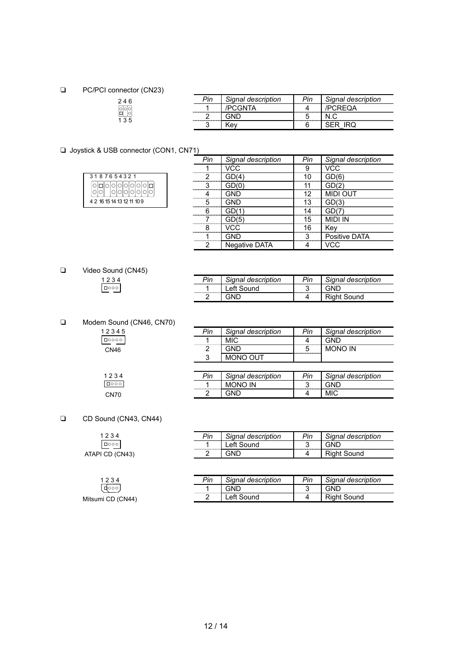### D PC/PCI connector (CN23)

# 2 4 6 1 3 5

| Pin | Signal description |                                  | Signal description |
|-----|--------------------|----------------------------------|--------------------|
|     |                    |                                  |                    |
|     |                    | ,,,,,,,,,,,,,,,,,,,,,,,,,,,,,,,, |                    |
|     |                    |                                  |                    |

### □ Joystick & USB connector (CON1, CN71)

| 3187654321                 |         |  |  |  |  |
|----------------------------|---------|--|--|--|--|
|                            | 0000000 |  |  |  |  |
|                            |         |  |  |  |  |
| 4 2 16 15 14 13 12 11 10 9 |         |  |  |  |  |

|                             | gnal description     | Signal description |
|-----------------------------|----------------------|--------------------|
|                             | ------------         |                    |
|                             | -------------------- | <br>-------        |
| ,,,,,,,,,,,,,,,,,,,,,,,,,,, | -------------        |                    |
|                             |                      |                    |
| ,,,,,,,,,,,,,,,,,,,,,,,,,,, |                      |                    |
|                             | -------------        |                    |
|                             | ------------         |                    |
|                             |                      |                    |
|                             |                      | 'IVA               |
| ┍                           | Negative DATA        |                    |

□ Video Sound (CN45)  $\begin{array}{r} 1234 \\ \hline \text{1000} \end{array}$ 

| $\n  bin\n$ |                  |     |                                |
|-------------|------------------|-----|--------------------------------|
|             | anal description | 'nn | <sup>্</sup> ignal description |
|             |                  |     |                                |
|             |                  |     |                                |

### □ Modem Sound (CN46, CN70)

| 12345 |  |
|-------|--|
| 10000 |  |
| CN46  |  |

| Pin | Signal description | Pin | Signal description |
|-----|--------------------|-----|--------------------|
|     | MIC.               |     |                    |
|     | חותי               |     | <b>MONO IN</b>     |
|     | MONO OUT           |     |                    |
|     |                    |     |                    |
|     |                    |     |                    |
| Pin | Signal description | Pin | Signal description |
|     | <b>MONO IN</b>     |     |                    |

### CD Sound (CN43, CN44)

1 2 3 4<br>[dooo] Mitsumi CD (CN44)

 $\begin{array}{r} 1234 \\ \hline \text{1000} \end{array}$ CN70

| 1234            | Pin | Signal description     | Pin     | Signal description |
|-----------------|-----|------------------------|---------|--------------------|
| $\Box$ 000      |     | <sub>-</sub> eft Sound | ◠<br>٠. | GNL                |
| ATAPI CD (CN43) |     | GND                    | 4       | ound               |
|                 |     |                        |         |                    |

| description<br>Sinnal.<br>יי |  | הונ | <i><b>Signal description</b></i> |
|------------------------------|--|-----|----------------------------------|
|                              |  |     |                                  |
|                              |  |     | 3ound                            |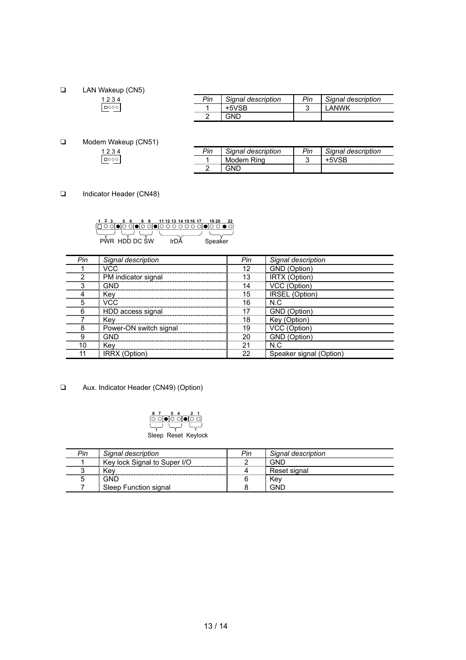**T** LAN Wakeup (CN5)

| יוׄפ | anal description      | ⊃in | াgnal description |
|------|-----------------------|-----|-------------------|
|      | --------------------- | ັ   |                   |
|      |                       |     |                   |

**D** Modem Wakeup (CN51)  $\begin{array}{r} 1234 \\ \hline \text{1000} \end{array}$ 

| Signal description | anal description |
|--------------------|------------------|
|                    |                  |
|                    |                  |

Indicator Header (CN48)

|               | 8 9 11 12 13 14 15 16 17 |  |  |         |  |
|---------------|--------------------------|--|--|---------|--|
|               |                          |  |  |         |  |
| PWR HDD DC SW |                          |  |  | Speaker |  |

| Pin                      | Signal description     | Pin | Signal description       |
|--------------------------|------------------------|-----|--------------------------|
|                          | VCC                    | 12  |                          |
|                          | PM indicator signal    | 13  | iti∩n`                   |
|                          | GND                    | 14  | (Option)                 |
|                          | Kev                    | 15  | (Option)<br><b>IRSEL</b> |
|                          | VCC.                   | 16  | N C                      |
|                          | HDD access signal      |     |                          |
|                          | Kev                    | 18. | ĸ۵                       |
|                          | Power-ON switch signal | 19  |                          |
|                          |                        | חר  | ⊟∩ntion) (               |
| ------------------------ | Kev                    | ີ   | N.C                      |
|                          | <b>IRRX (Option</b>    | າາ  | Speaker signal (Option   |

T Aux. Indicator Header (CN49) (Option)



| Pin | Signal description           | Pin | Signal description |
|-----|------------------------------|-----|--------------------|
|     | Key lock Signal to Super I/O |     | GNL                |
|     | Kev                          |     | Reset signal       |
|     | GND                          |     | Kev                |
|     | Sleep Function signal        |     | <b>GNE</b>         |